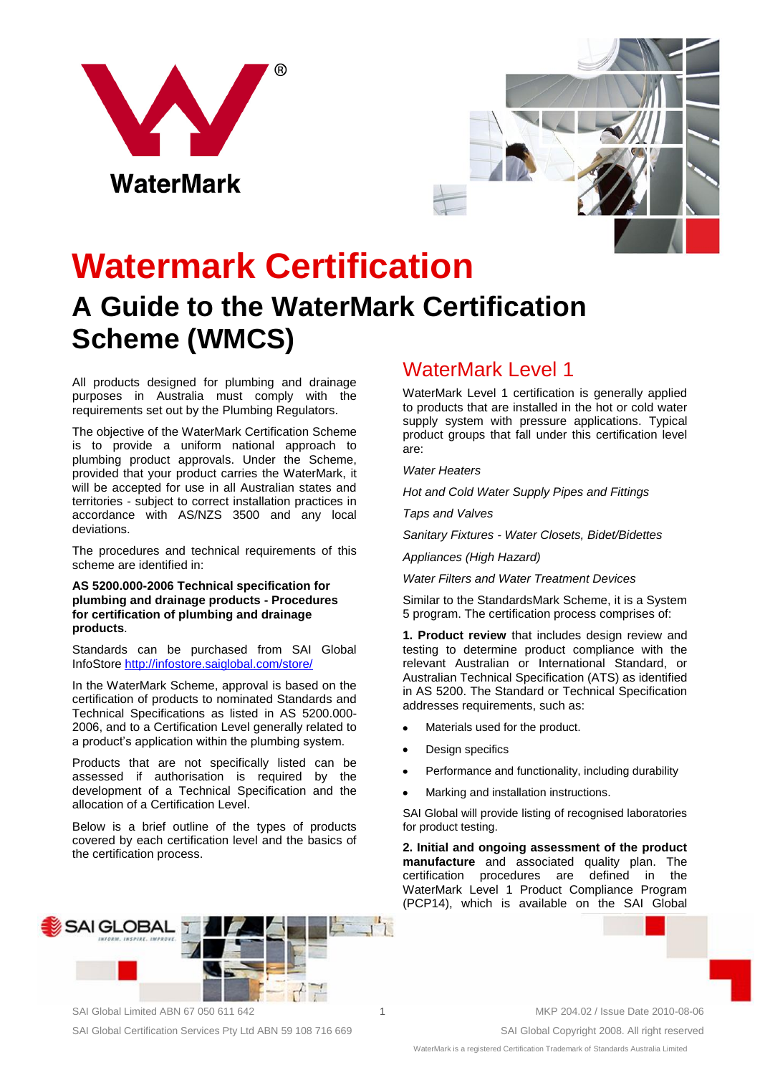



# **Watermark Certification**

## **A Guide to the WaterMark Certification Scheme (WMCS)**

All products designed for plumbing and drainage purposes in Australia must comply with the requirements set out by the Plumbing Regulators.

The objective of the WaterMark Certification Scheme is to provide a uniform national approach to plumbing product approvals. Under the Scheme, provided that your product carries the WaterMark, it will be accepted for use in all Australian states and territories - subject to correct installation practices in accordance with AS/NZS 3500 and any local deviations.

The procedures and technical requirements of this scheme are identified in:

#### **AS 5200.000-2006 Technical specification for plumbing and drainage products - Procedures for certification of plumbing and drainage products**.

Standards can be purchased from SAI Global InfoStore<http://infostore.saiglobal.com/store/>

In the WaterMark Scheme, approval is based on the certification of products to nominated Standards and Technical Specifications as listed in AS 5200.000- 2006, and to a Certification Level generally related to a product's application within the plumbing system.

Products that are not specifically listed can be assessed if authorisation is required by the development of a Technical Specification and the allocation of a Certification Level.

Below is a brief outline of the types of products covered by each certification level and the basics of the certification process.



WaterMark Level 1

WaterMark Level 1 certification is generally applied to products that are installed in the hot or cold water supply system with pressure applications. Typical product groups that fall under this certification level are:

*Water Heaters*

*Hot and Cold Water Supply Pipes and Fittings*

*Taps and Valves*

*Sanitary Fixtures - Water Closets, Bidet/Bidettes*

*Appliances (High Hazard)*

*Water Filters and Water Treatment Devices*

Similar to the StandardsMark Scheme, it is a System 5 program. The certification process comprises of:

**1. Product review** that includes design review and testing to determine product compliance with the relevant Australian or International Standard, or Australian Technical Specification (ATS) as identified in AS 5200. The Standard or Technical Specification addresses requirements, such as:

- Materials used for the product.
- Design specifics
- Performance and functionality, including durability
- Marking and installation instructions.

SAI Global will provide listing of recognised laboratories for product testing.

**2. Initial and ongoing assessment of the product manufacture** and associated quality plan. The certification procedures are defined in the WaterMark Level 1 Product Compliance Program (PCP14), which is available on the SAI Global

SAI Global Certification Services Pty Ltd ABN 59 108 716 669 SAI Global Copyright 2008. All right reserved

SAI Global Limited ABN 67 050 611 642 1 MKP 204.02 / Issue Date 2010-08-06

WaterMark is a registered Certification Trademark of Standards Australia Limited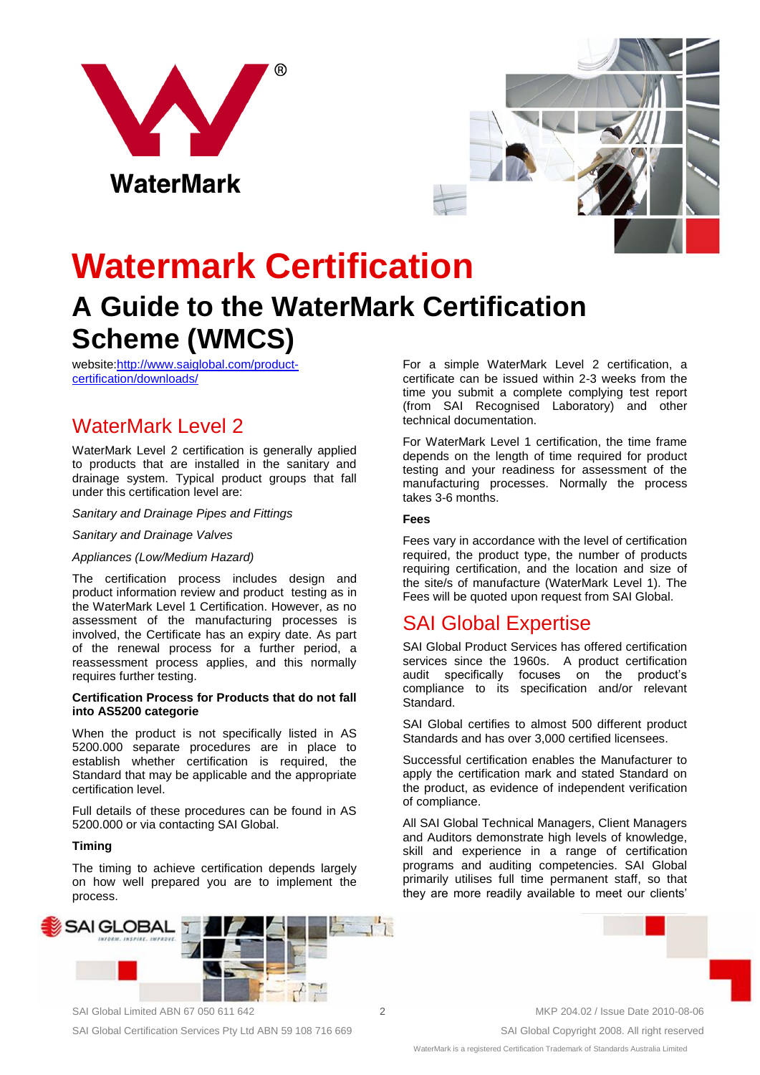



# **Watermark Certification**

## **A Guide to the WaterMark Certification Scheme (WMCS)**

website[:http://www.saiglobal.com/product](http://www.saiglobal.com/product-certification/downloads/)[certification/downloads/](http://www.saiglobal.com/product-certification/downloads/)

## WaterMark Level 2

WaterMark Level 2 certification is generally applied to products that are installed in the sanitary and drainage system. Typical product groups that fall under this certification level are:

#### *Sanitary and Drainage Pipes and Fittings*

#### *Sanitary and Drainage Valves*

#### *Appliances (Low/Medium Hazard)*

The certification process includes design and product information review and product testing as in the WaterMark Level 1 Certification. However, as no assessment of the manufacturing processes is involved, the Certificate has an expiry date. As part of the renewal process for a further period, a reassessment process applies, and this normally requires further testing.

#### **Certification Process for Products that do not fall into AS5200 categorie**

When the product is not specifically listed in AS 5200.000 separate procedures are in place to establish whether certification is required, the Standard that may be applicable and the appropriate certification level.

Full details of these procedures can be found in AS 5200.000 or via contacting SAI Global.

#### **Timing**

The timing to achieve certification depends largely on how well prepared you are to implement the process.



For a simple WaterMark Level 2 certification, a certificate can be issued within 2-3 weeks from the time you submit a complete complying test report (from SAI Recognised Laboratory) and other technical documentation.

For WaterMark Level 1 certification, the time frame depends on the length of time required for product testing and your readiness for assessment of the manufacturing processes. Normally the process takes 3-6 months.

#### **Fees**

Fees vary in accordance with the level of certification required, the product type, the number of products requiring certification, and the location and size of the site/s of manufacture (WaterMark Level 1). The Fees will be quoted upon request from SAI Global.

### SAI Global Expertise

SAI Global Product Services has offered certification services since the 1960s. A product certification audit specifically focuses on the product's compliance to its specification and/or relevant Standard.

SAI Global certifies to almost 500 different product Standards and has over 3,000 certified licensees.

Successful certification enables the Manufacturer to apply the certification mark and stated Standard on the product, as evidence of independent verification of compliance.

All SAI Global Technical Managers, Client Managers and Auditors demonstrate high levels of knowledge, skill and experience in a range of certification programs and auditing competencies. SAI Global primarily utilises full time permanent staff, so that they are more readily available to meet our clients'



SAI Global Certification Services Pty Ltd ABN 59 108 716 669 SAI Global Copyright 2008. All right reserved

WaterMark is a registered Certification Trademark of Standards Australia Limited